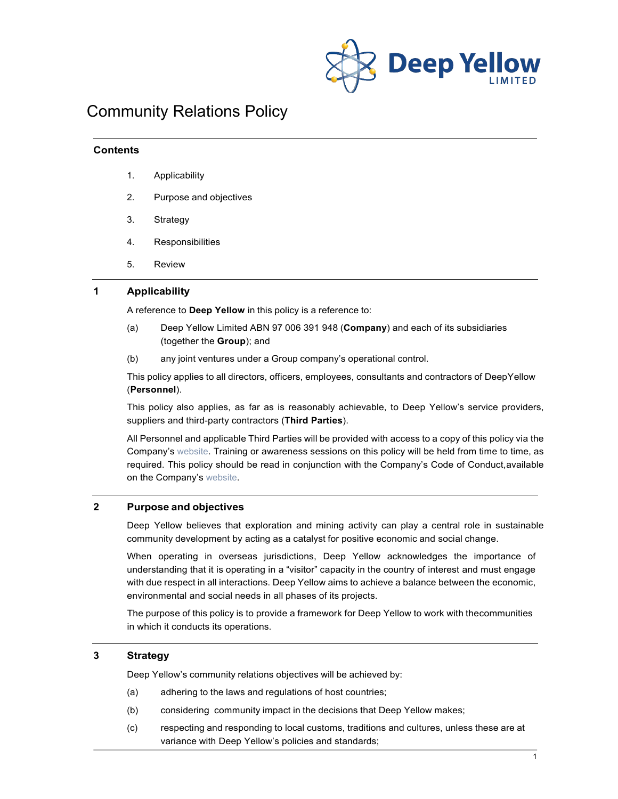

# Community Relations Policy

#### **Contents**

- 1. Applicability
- 2. Purpose and objectives
- 3. Strategy
- 4. Responsibilities
- 5. Review

#### **1 Applicability**

A reference to **Deep Yellow** in this policy is a reference to:

- (a) Deep Yellow Limited ABN 97 006 391 948 (**Company**) and each of its subsidiaries (together the **Group**); and
- (b) any joint ventures under a Group company's operational control.

This policy applies to all directors, officers, employees, consultants and contractors of DeepYellow (**Personnel**).

This policy also applies, as far as is reasonably achievable, to Deep Yellow's service providers, suppliers and third-party contractors (**Third Parties**).

All Personnel and applicable Third Parties will be provided with access to a copy of this policy via the Company'[s website.](http://www.deepyellow.com.au/index.html) Training or awareness sessions on this policy will be held from time to time, as required. This policy should be read in conjunction with the Company's Code of Conduct,available on the Company's [website.](http://www.deepyellow.com.au/index.html)

## **2 Purpose and objectives**

Deep Yellow believes that exploration and mining activity can play a central role in sustainable community development by acting as a catalyst for positive economic and social change.

When operating in overseas jurisdictions, Deep Yellow acknowledges the importance of understanding that it is operating in a "visitor" capacity in the country of interest and must engage with due respect in all interactions. Deep Yellow aims to achieve a balance between the economic, environmental and social needs in all phases of its projects.

The purpose of this policy is to provide a framework for Deep Yellow to work with thecommunities in which it conducts its operations.

## **3 Strategy**

Deep Yellow's community relations objectives will be achieved by:

- (a) adhering to the laws and regulations of host countries;
- (b) considering community impact in the decisions that Deep Yellow makes;
- (c) respecting and responding to local customs, traditions and cultures, unless these are at variance with Deep Yellow's policies and standards;